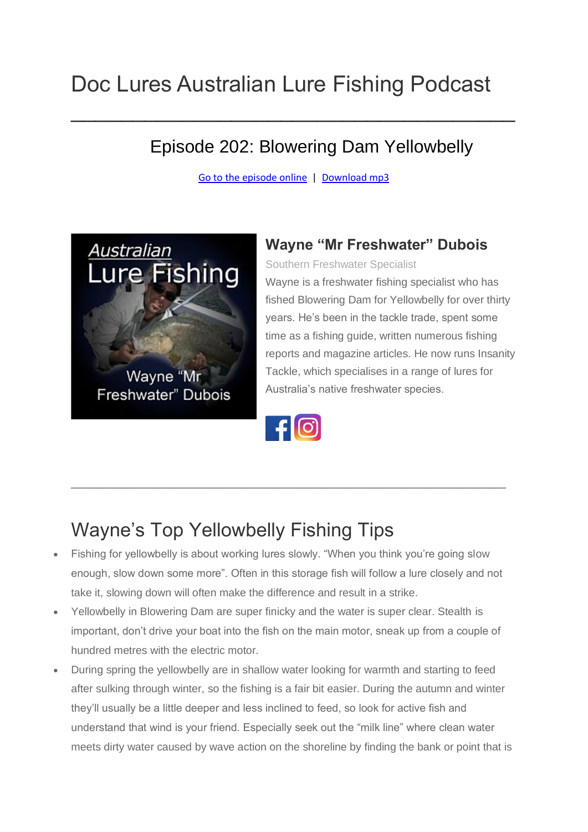# Doc Lures Australian Lure Fishing Podcast

#### Episode 202: Blowering Dam Yellowbelly

[Go to the episode online](https://doclures.com/blowering-yellowbelly-wayne-dubois/) | [Download mp3](http://traffic.libsyn.com/doclures/blowering-yellowbelly-wayne-dubois-final.mp3)

 $\mathcal{L}_\text{max}$  and  $\mathcal{L}_\text{max}$  and  $\mathcal{L}_\text{max}$  are the set of  $\mathcal{L}_\text{max}$  and  $\mathcal{L}_\text{max}$ 



#### **Wayne "Mr Freshwater" Dubois**

Southern Freshwater Specialist

Wayne is a freshwater fishing specialist who has fished Blowering Dam for Yellowbelly for over thirty years. He's been in the tackle trade, spent some time as a fishing guide, written numerous fishing reports and magazine articles. He now runs Insanity Tackle, which specialises in a range of lures for Australia's native freshwater species.



\_\_\_\_\_\_\_\_\_\_\_\_\_\_\_\_\_\_\_\_\_\_\_\_\_\_\_\_\_\_\_\_\_\_\_\_\_\_\_\_\_\_\_\_\_\_\_\_\_\_\_\_\_\_\_\_\_\_\_\_\_

## Wayne's Top Yellowbelly Fishing Tips

- Fishing for yellowbelly is about working lures slowly. "When you think you're going slow enough, slow down some more". Often in this storage fish will follow a lure closely and not take it, slowing down will often make the difference and result in a strike.
- Yellowbelly in Blowering Dam are super finicky and the water is super clear. Stealth is important, don't drive your boat into the fish on the main motor, sneak up from a couple of hundred metres with the electric motor.
- During spring the yellowbelly are in shallow water looking for warmth and starting to feed after sulking through winter, so the fishing is a fair bit easier. During the autumn and winter they'll usually be a little deeper and less inclined to feed, so look for active fish and understand that wind is your friend. Especially seek out the "milk line" where clean water meets dirty water caused by wave action on the shoreline by finding the bank or point that is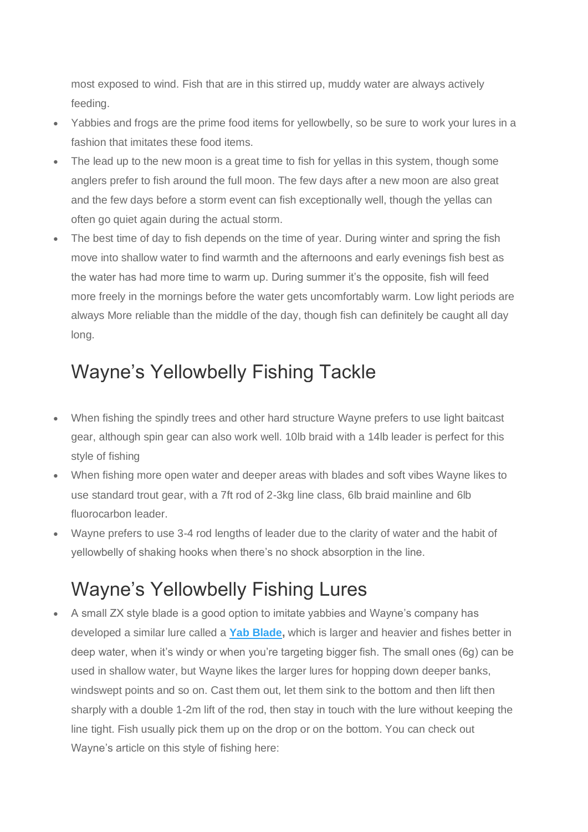most exposed to wind. Fish that are in this stirred up, muddy water are always actively feeding.

- Yabbies and frogs are the prime food items for yellowbelly, so be sure to work your lures in a fashion that imitates these food items.
- The lead up to the new moon is a great time to fish for yellas in this system, though some anglers prefer to fish around the full moon. The few days after a new moon are also great and the few days before a storm event can fish exceptionally well, though the yellas can often go quiet again during the actual storm.
- The best time of day to fish depends on the time of year. During winter and spring the fish move into shallow water to find warmth and the afternoons and early evenings fish best as the water has had more time to warm up. During summer it's the opposite, fish will feed more freely in the mornings before the water gets uncomfortably warm. Low light periods are always More reliable than the middle of the day, though fish can definitely be caught all day long.

### Wayne's Yellowbelly Fishing Tackle

- When fishing the spindly trees and other hard structure Wayne prefers to use light baitcast gear, although spin gear can also work well. 10lb braid with a 14lb leader is perfect for this style of fishing
- When fishing more open water and deeper areas with blades and soft vibes Wayne likes to use standard trout gear, with a 7ft rod of 2-3kg line class, 6lb braid mainline and 6lb fluorocarbon leader.
- Wayne prefers to use 3-4 rod lengths of leader due to the clarity of water and the habit of yellowbelly of shaking hooks when there's no shock absorption in the line.

## Wayne's Yellowbelly Fishing Lures

• A small ZX style blade is a good option to imitate yabbies and Wayne's company has developed a similar lure called a **Yab [Blade,](https://insanitytackle.bigcartel.com/category/blades)** which is larger and heavier and fishes better in deep water, when it's windy or when you're targeting bigger fish. The small ones (6g) can be used in shallow water, but Wayne likes the larger lures for hopping down deeper banks, windswept points and so on. Cast them out, let them sink to the bottom and then lift then sharply with a double 1-2m lift of the rod, then stay in touch with the lure without keeping the line tight. Fish usually pick them up on the drop or on the bottom. You can check out Wayne's article on this style of fishing here: